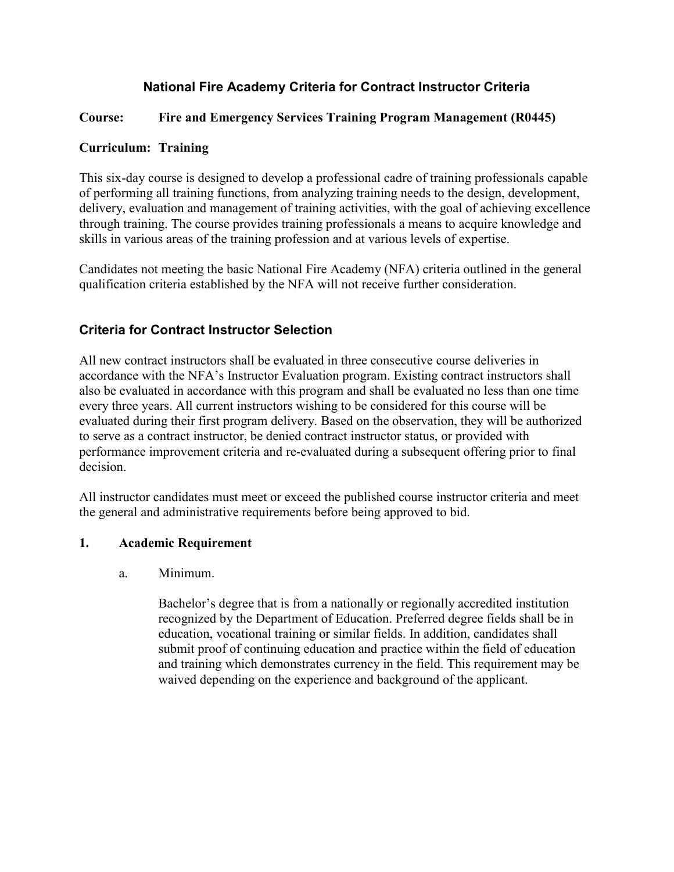# **National Fire Academy Criteria for Contract Instructor Criteria**

# **Course: Fire and Emergency Services Training Program Management (R0445)**

### **Curriculum: Training**

This six-day course is designed to develop a professional cadre of training professionals capable of performing all training functions, from analyzing training needs to the design, development, delivery, evaluation and management of training activities, with the goal of achieving excellence through training. The course provides training professionals a means to acquire knowledge and skills in various areas of the training profession and at various levels of expertise.

Candidates not meeting the basic National Fire Academy (NFA) criteria outlined in the general qualification criteria established by the NFA will not receive further consideration.

# **Criteria for Contract Instructor Selection**

All new contract instructors shall be evaluated in three consecutive course deliveries in accordance with the NFA's Instructor Evaluation program. Existing contract instructors shall also be evaluated in accordance with this program and shall be evaluated no less than one time every three years. All current instructors wishing to be considered for this course will be evaluated during their first program delivery. Based on the observation, they will be authorized to serve as a contract instructor, be denied contract instructor status, or provided with performance improvement criteria and re-evaluated during a subsequent offering prior to final decision.

All instructor candidates must meet or exceed the published course instructor criteria and meet the general and administrative requirements before being approved to bid.

### **1. Academic Requirement**

### a. Minimum.

Bachelor's degree that is from a nationally or regionally accredited institution recognized by the Department of Education. Preferred degree fields shall be in education, vocational training or similar fields. In addition, candidates shall submit proof of continuing education and practice within the field of education and training which demonstrates currency in the field. This requirement may be waived depending on the experience and background of the applicant.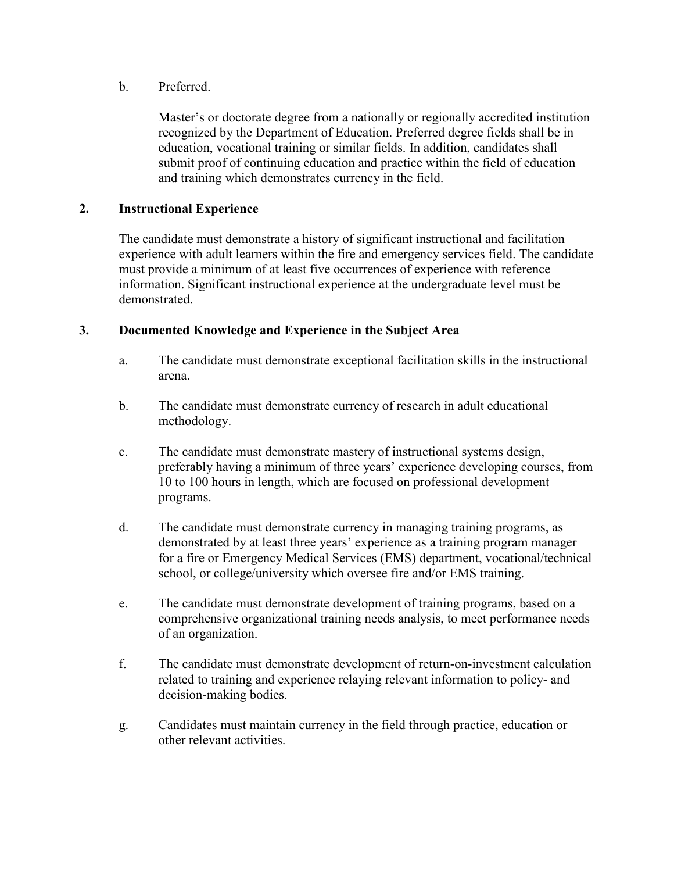b. Preferred.

Master's or doctorate degree from a nationally or regionally accredited institution recognized by the Department of Education. Preferred degree fields shall be in education, vocational training or similar fields. In addition, candidates shall submit proof of continuing education and practice within the field of education and training which demonstrates currency in the field.

#### **2. Instructional Experience**

The candidate must demonstrate a history of significant instructional and facilitation experience with adult learners within the fire and emergency services field. The candidate must provide a minimum of at least five occurrences of experience with reference information. Significant instructional experience at the undergraduate level must be demonstrated.

#### **3. Documented Knowledge and Experience in the Subject Area**

- a. The candidate must demonstrate exceptional facilitation skills in the instructional arena.
- b. The candidate must demonstrate currency of research in adult educational methodology.
- c. The candidate must demonstrate mastery of instructional systems design, preferably having a minimum of three years' experience developing courses, from 10 to 100 hours in length, which are focused on professional development programs.
- d. The candidate must demonstrate currency in managing training programs, as demonstrated by at least three years' experience as a training program manager for a fire or Emergency Medical Services (EMS) department, vocational/technical school, or college/university which oversee fire and/or EMS training.
- e. The candidate must demonstrate development of training programs, based on a comprehensive organizational training needs analysis, to meet performance needs of an organization.
- f. The candidate must demonstrate development of return-on-investment calculation related to training and experience relaying relevant information to policy- and decision-making bodies.
- g. Candidates must maintain currency in the field through practice, education or other relevant activities.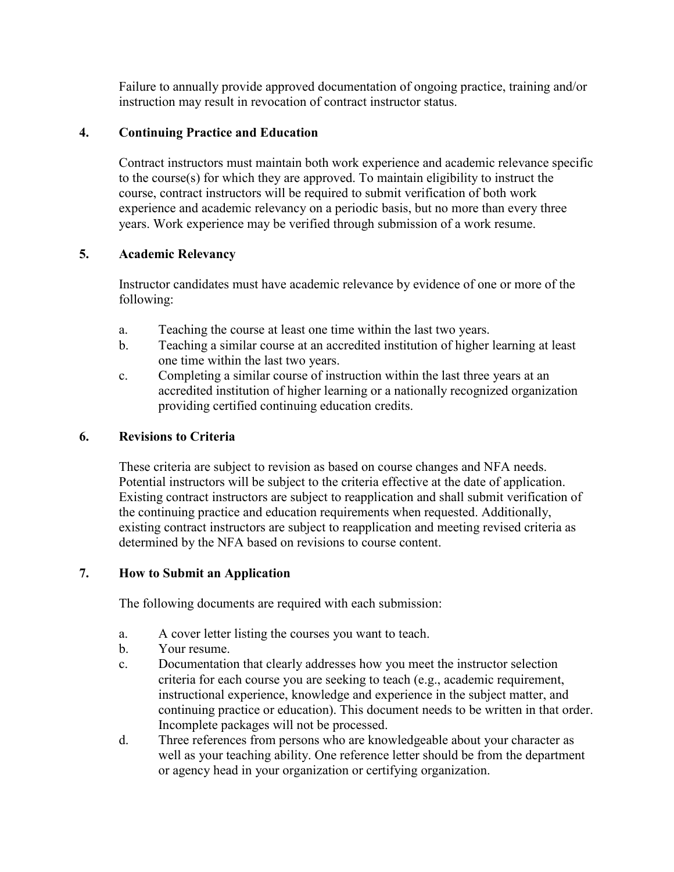Failure to annually provide approved documentation of ongoing practice, training and/or instruction may result in revocation of contract instructor status.

## **4. Continuing Practice and Education**

Contract instructors must maintain both work experience and academic relevance specific to the course(s) for which they are approved. To maintain eligibility to instruct the course, contract instructors will be required to submit verification of both work experience and academic relevancy on a periodic basis, but no more than every three years. Work experience may be verified through submission of a work resume.

## **5. Academic Relevancy**

Instructor candidates must have academic relevance by evidence of one or more of the following:

- a. Teaching the course at least one time within the last two years.
- b. Teaching a similar course at an accredited institution of higher learning at least one time within the last two years.
- c. Completing a similar course of instruction within the last three years at an accredited institution of higher learning or a nationally recognized organization providing certified continuing education credits.

# **6. Revisions to Criteria**

These criteria are subject to revision as based on course changes and NFA needs. Potential instructors will be subject to the criteria effective at the date of application. Existing contract instructors are subject to reapplication and shall submit verification of the continuing practice and education requirements when requested. Additionally, existing contract instructors are subject to reapplication and meeting revised criteria as determined by the NFA based on revisions to course content.

### **7. How to Submit an Application**

The following documents are required with each submission:

- a. A cover letter listing the courses you want to teach.
- b. Your resume.
- c. Documentation that clearly addresses how you meet the instructor selection criteria for each course you are seeking to teach (e.g., academic requirement, instructional experience, knowledge and experience in the subject matter, and continuing practice or education). This document needs to be written in that order. Incomplete packages will not be processed.
- d. Three references from persons who are knowledgeable about your character as well as your teaching ability. One reference letter should be from the department or agency head in your organization or certifying organization.